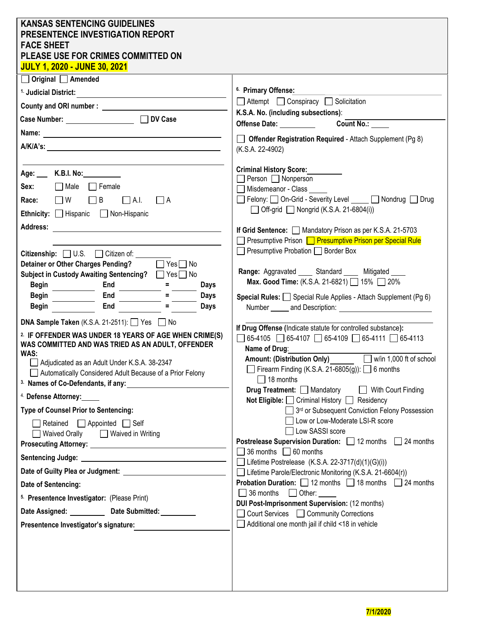| <b>KANSAS SENTENCING GUIDELINES</b><br><b>PRESENTENCE INVESTIGATION REPORT</b><br><b>FACE SHEET</b><br>PLEASE USE FOR CRIMES COMMITTED ON<br><b>JULY 1, 2020 - JUNE 30, 2021</b> |                                                                                                                                                                                                                                              |
|----------------------------------------------------------------------------------------------------------------------------------------------------------------------------------|----------------------------------------------------------------------------------------------------------------------------------------------------------------------------------------------------------------------------------------------|
| $\Box$ Original $\Box$ Amended                                                                                                                                                   |                                                                                                                                                                                                                                              |
| <sup>1.</sup> Judicial District:                                                                                                                                                 | <sup>6.</sup> Primary Offense:                                                                                                                                                                                                               |
| County and ORI number:                                                                                                                                                           | $\Box$ Attempt $\Box$ Conspiracy $\Box$ Solicitation                                                                                                                                                                                         |
|                                                                                                                                                                                  | K.S.A. No. (including subsections):                                                                                                                                                                                                          |
|                                                                                                                                                                                  | Offense Date: Notelland State and State and State and State and State and State and State and State and State and State and State and State and State and State and State and State and State and State and State and State an<br>Count No.: |
|                                                                                                                                                                                  | Offender Registration Required - Attach Supplement (Pg 8)<br>(K.S.A. 22-4902)                                                                                                                                                                |
|                                                                                                                                                                                  |                                                                                                                                                                                                                                              |
| Age: K.B.I. No:                                                                                                                                                                  | <b>Criminal History Score:</b><br>Person □ Nonperson                                                                                                                                                                                         |
| Sex: $\Box$ Male $\Box$ Female                                                                                                                                                   | Misdemeanor - Class                                                                                                                                                                                                                          |
| Race: $\Box$ W<br>$\Box$ B<br>$\Box$ A.I.<br>$\Box$ A<br>Ethnicity: Hispanic Non-Hispanic                                                                                        | Felony: On-Grid - Severity Level ____ Nondrug D Drug<br>$\Box$ Off-grid $\Box$ Nongrid (K.S.A. 21-6804(i))                                                                                                                                   |
| Address:                                                                                                                                                                         |                                                                                                                                                                                                                                              |
|                                                                                                                                                                                  | If Grid Sentence: Mandatory Prison as per K.S.A. 21-5703<br>Presumptive Prison <b>Presumptive Prison per Special Rule</b>                                                                                                                    |
| Citizenship: U.S. Citizen of: _____                                                                                                                                              | $\Box$ Presumptive Probation $\Box$ Border Box                                                                                                                                                                                               |
| <b>Detainer or Other Charges Pending?</b><br>$\Box$ Yes $\Box$ No                                                                                                                |                                                                                                                                                                                                                                              |
| Subject in Custody Awaiting Sentencing? Thes No                                                                                                                                  | Range: Aggravated _____ Standard _____ Mitigated ____                                                                                                                                                                                        |
| Begin<br>End<br><b>Days</b>                                                                                                                                                      | Max. Good Time: (K.S.A. 21-6821)   15%   20%                                                                                                                                                                                                 |
| <b>Begin</b><br>End<br><b>Days</b>                                                                                                                                               | <b>Special Rules:</b> $\Box$ Special Rule Applies - Attach Supplement (Pg 6)                                                                                                                                                                 |
| End<br><b>Begin</b><br>Days                                                                                                                                                      | Number _______ and Description:                                                                                                                                                                                                              |
| <b>DNA Sample Taken</b> (K.S.A. 21-2511): $\Box$ Yes $\Box$ No                                                                                                                   | If Drug Offense (Indicate statute for controlled substance):                                                                                                                                                                                 |
| <sup>2.</sup> IF OFFENDER WAS UNDER 18 YEARS OF AGE WHEN CRIME(S)<br>WAS COMMITTED AND WAS TRIED AS AN ADULT, OFFENDER                                                           | $\Box$ 65-4105 $\Box$ 65-4107 $\Box$ 65-4109 $\Box$ 65-4111 $\Box$ 65-4113<br>Name of Drug: Name of Drug:                                                                                                                                    |
| WAS:                                                                                                                                                                             | $\Box$ w/in 1,000 ft of school<br><b>Amount: (Distribution Only)</b>                                                                                                                                                                         |
| Adjudicated as an Adult Under K.S.A. 38-2347<br>Automatically Considered Adult Because of a Prior Felony                                                                         | Firearm Finding (K.S.A. 21-6805(g)): $\Box$ 6 months                                                                                                                                                                                         |
| <sup>3.</sup> Names of Co-Defendants, if any:                                                                                                                                    | $\Box$ 18 months                                                                                                                                                                                                                             |
| <sup>4.</sup> Defense Attorney:_____                                                                                                                                             | Drug Treatment: Mandatory<br>With Court Finding                                                                                                                                                                                              |
| <b>Type of Counsel Prior to Sentencing:</b>                                                                                                                                      | Not Eligible: Criminal History □ Residency<br>3rd or Subsequent Conviction Felony Possession                                                                                                                                                 |
| Retained $\Box$ Appointed $\Box$ Self                                                                                                                                            | Low or Low-Moderate LSI-R score                                                                                                                                                                                                              |
| Waived Orally <b>D</b> Waived in Writing                                                                                                                                         | □ Low SASSI score                                                                                                                                                                                                                            |
|                                                                                                                                                                                  | Postrelease Supervision Duration: □ 12 months □ 24 months                                                                                                                                                                                    |
|                                                                                                                                                                                  | 36 months $\Box$ 60 months<br>□ Lifetime Postrelease $(K.S.A. 22-3717(d)(1)(G)(i))$                                                                                                                                                          |
|                                                                                                                                                                                  | Lifetime Parole/Electronic Monitoring (K.S.A. 21-6604(r))                                                                                                                                                                                    |
| Date of Sentencing:                                                                                                                                                              | <b>Probation Duration:</b> $\Box$ 12 months $\Box$ 18 months $\Box$ 24 months                                                                                                                                                                |
| 5. Presentence Investigator: (Please Print)                                                                                                                                      | $\Box$ 36 months $\Box$ Other:                                                                                                                                                                                                               |
| Date Assigned: Date Submitted:                                                                                                                                                   | <b>DUI Post-Imprisonment Supervision: (12 months)</b><br>Court Services C Community Corrections                                                                                                                                              |
| Presentence Investigator's signature:                                                                                                                                            | Additional one month jail if child <18 in vehicle                                                                                                                                                                                            |
|                                                                                                                                                                                  |                                                                                                                                                                                                                                              |
|                                                                                                                                                                                  |                                                                                                                                                                                                                                              |
|                                                                                                                                                                                  |                                                                                                                                                                                                                                              |
|                                                                                                                                                                                  |                                                                                                                                                                                                                                              |
|                                                                                                                                                                                  |                                                                                                                                                                                                                                              |

| 7/1/2020 |
|----------|
|          |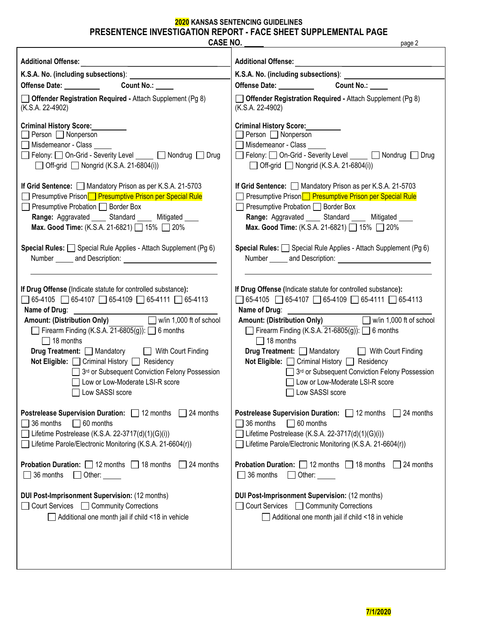# **2020 KANSAS SENTENCING GUIDELINES PRESENTENCE INVESTIGATION REPORT - FACE SHEET SUPPLEMENTAL PAGE**

| <b>CASE NO.</b>                                                            | page 2                                                                     |
|----------------------------------------------------------------------------|----------------------------------------------------------------------------|
| <b>Additional Offense:</b>                                                 | <b>Additional Offense:</b>                                                 |
| K.S.A. No. (including subsections): ________________                       | K.S.A. No. (including subsections): ______________                         |
| Offense Date: __________                                                   | Offense Date: <u>New York Base</u>                                         |
| Count No.: _____                                                           | Count No.: _____                                                           |
| Offender Registration Required - Attach Supplement (Pg 8)                  | $\Box$ Offender Registration Required - Attach Supplement (Pg 8)           |
| (K.S.A. 22-4902)                                                           | (K.S.A. 22-4902)                                                           |
| <b>Criminal History Score:</b>                                             | <b>Criminal History Score:</b>                                             |
| Person Nonperson                                                           | Person Nonperson                                                           |
| Misdemeanor - Class                                                        | Misdemeanor - Class                                                        |
| □ Felony: □ On-Grid - Severity Level _____ □ Nondrug □ Drug                | □ Felony: □ On-Grid - Severity Level ____ □ Nondrug □ Drug                 |
| $\Box$ Off-grid $\Box$ Nongrid (K.S.A. 21-6804(i))                         | $\Box$ Off-grid $\Box$ Nongrid (K.S.A. 21-6804(i))                         |
| If Grid Sentence: Mandatory Prison as per K.S.A. 21-5703                   | If Grid Sentence: Mandatory Prison as per K.S.A. 21-5703                   |
| □ Presumptive Prison <b>□ Presumptive Prison per Special Rule</b>          | □ Presumptive Prison <b>□ Presumptive Prison per Special Rule</b>          |
| Presumptive Probation D Border Box                                         | Presumptive Probation Border Box                                           |
| Range: Aggravated _____ Standard _____ Mitigated ____                      | Range: Aggravated _____ Standard _____ Mitigated ____                      |
| Max. Good Time: (K.S.A. 21-6821) 15% 20%                                   | Max. Good Time: (K.S.A. 21-6821) 15% 20%                                   |
| Special Rules: Special Rule Applies - Attach Supplement (Pg 6)             | Special Rules: Special Rule Applies - Attach Supplement (Pg 6)             |
|                                                                            | Number _______ and Description:                                            |
| If Drug Offense (Indicate statute for controlled substance):               | If Drug Offense (Indicate statute for controlled substance):               |
| $\Box$ 65-4105 $\Box$ 65-4107 $\Box$ 65-4109 $\Box$ 65-4111 $\Box$ 65-4113 | $\Box$ 65-4105 $\Box$ 65-4107 $\Box$ 65-4109 $\Box$ 65-4111 $\Box$ 65-4113 |
|                                                                            |                                                                            |
| Amount: (Distribution Only) Win 1,000 ft of school                         | Amount: (Distribution Only) Win 1,000 ft of school                         |
| Firearm Finding (K.S.A. $21-6805(g)$ ): $\Box$ 6 months                    | Firearm Finding (K.S.A. $21-6805(g)$ ): $\Box$ 6 months                    |
| $\Box$ 18 months                                                           | $\Box$ 18 months                                                           |
| <b>Drug Treatment:</b> Mandatory <b>No. 2.1 With Court Finding</b>         | <b>Drug Treatment:</b> Mandatory Mith Court Finding                        |
| Not Eligible: □ Criminal History □ Residency                               | Not Eligible: □ Criminal History □ Residency                               |
| 3rd or Subsequent Conviction Felony Possession                             | 3rd or Subsequent Conviction Felony Possession                             |
| Uow or Low-Moderate LSI-R score                                            | □ Low or Low-Moderate LSI-R score                                          |
| Low SASSI score                                                            | Low SASSI score                                                            |
| Postrelease Supervision Duration: 12 months                                | <b>Postrelease Supervision Duration:</b> 12 months                         |
| 24 months                                                                  | 24 months                                                                  |
| 36 months                                                                  | 36 months                                                                  |
| $\Box$ 60 months                                                           | $\Box$ 60 months                                                           |
| Lifetime Postrelease (K.S.A. 22-3717(d)(1)(G)(i))                          | Lifetime Postrelease (K.S.A. 22-3717(d)(1)(G)(i))                          |
| Lifetime Parole/Electronic Monitoring (K.S.A. 21-6604(r))                  | Lifetime Parole/Electronic Monitoring (K.S.A. 21-6604(r))                  |
| <b>Probation Duration:</b> $\Box$ 12 months $\Box$ 18 months               | <b>Probation Duration:</b> $\Box$ 12 months $\Box$ 18 months               |
| 24 months                                                                  | 24 months                                                                  |
| 36 months                                                                  | $\Box$ 36 months                                                           |
| Other:                                                                     | $\Box$ Other: $\_\_$                                                       |
| <b>DUI Post-Imprisonment Supervision: (12 months)</b>                      | <b>DUI Post-Imprisonment Supervision: (12 months)</b>                      |
| □ Court Services □ Community Corrections                                   | Court Services<br><br><br><br>Community Corrections                        |
| Additional one month jail if child <18 in vehicle                          | Additional one month jail if child <18 in vehicle                          |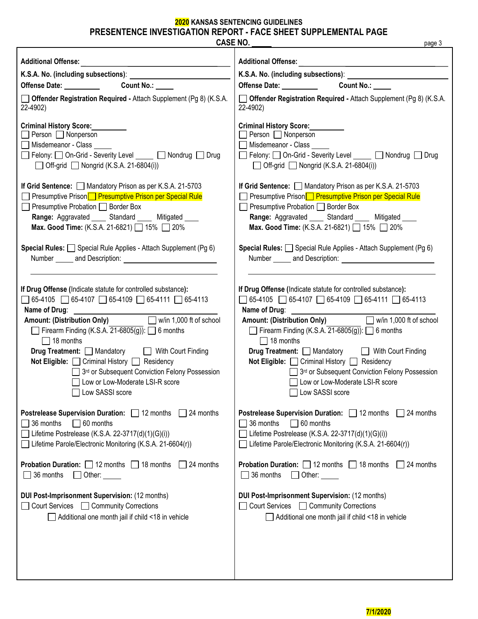# **2020 KANSAS SENTENCING GUIDELINES**

**PRESENTENCE INVESTIGATION REPORT - FACE SHEET SUPPLEMENTAL PAGE** 

| <b>CASE NO.</b>                                                                                                                                                                                                                                                                                                                                                   | page 3                                                                                                                                                                                                                                                                                                                                                                |
|-------------------------------------------------------------------------------------------------------------------------------------------------------------------------------------------------------------------------------------------------------------------------------------------------------------------------------------------------------------------|-----------------------------------------------------------------------------------------------------------------------------------------------------------------------------------------------------------------------------------------------------------------------------------------------------------------------------------------------------------------------|
| <b>Additional Offense:</b><br>Offense Date: Count No.: COUNT No.:<br>Offender Registration Required - Attach Supplement (Pg 8) (K.S.A.<br>22-4902)<br><b>Criminal History Score:</b><br>$\Box$ Person $\Box$ Nonperson<br>Misdemeanor - Class<br>□ Felony: □ On-Grid - Severity Level ____ □ Nondrug □ Drug<br>$\Box$ Off-grid $\Box$ Nongrid (K.S.A. 21-6804(i)) | <b>Additional Offense:</b><br>Offense Date: __________<br><b>Count No.:</b><br>Offender Registration Required - Attach Supplement (Pg 8) (K.S.A.<br>22-4902)<br><b>Criminal History Score:</b><br>$\Box$ Person $\Box$ Nonperson<br>Misdemeanor - Class<br>Felony: On-Grid - Severity Level _____ ONondrug Drug<br>$\Box$ Off-grid $\Box$ Nongrid (K.S.A. 21-6804(i)) |
| If Grid Sentence: Mandatory Prison as per K.S.A. 21-5703                                                                                                                                                                                                                                                                                                          | If Grid Sentence: Mandatory Prison as per K.S.A. 21-5703                                                                                                                                                                                                                                                                                                              |
| □ Presumptive Prison <b>D</b> Presumptive Prison per Special Rule                                                                                                                                                                                                                                                                                                 | □ Presumptive Prison <b>□ Presumptive Prison per Special Rule</b>                                                                                                                                                                                                                                                                                                     |
| Presumptive Probation Sorder Box                                                                                                                                                                                                                                                                                                                                  | Presumptive Probation Sorder Box                                                                                                                                                                                                                                                                                                                                      |
| Range: Aggravated _____ Standard _____ Mitigated ____                                                                                                                                                                                                                                                                                                             | Range: Aggravated _____ Standard _____ Mitigated ____                                                                                                                                                                                                                                                                                                                 |
| Max. Good Time: (K.S.A. 21-6821) 15% 20%                                                                                                                                                                                                                                                                                                                          | Max. Good Time: (K.S.A. 21-6821) 15% 20%                                                                                                                                                                                                                                                                                                                              |
| <b>Special Rules:</b> $\Box$ Special Rule Applies - Attach Supplement (Pg 6)                                                                                                                                                                                                                                                                                      | Special Rules: Special Rule Applies - Attach Supplement (Pg 6)                                                                                                                                                                                                                                                                                                        |
| Number _______ and Description:                                                                                                                                                                                                                                                                                                                                   | Number and Description:                                                                                                                                                                                                                                                                                                                                               |
| If Drug Offense (Indicate statute for controlled substance):                                                                                                                                                                                                                                                                                                      | If Drug Offense (Indicate statute for controlled substance):                                                                                                                                                                                                                                                                                                          |
| $\Box$ 65-4105 $\Box$ 65-4107 $\Box$ 65-4109 $\Box$ 65-4111 $\Box$ 65-4113                                                                                                                                                                                                                                                                                        | $\Box$ 65-4105 $\Box$ 65-4107 $\Box$ 65-4109 $\Box$ 65-4111 $\Box$ 65-4113                                                                                                                                                                                                                                                                                            |
|                                                                                                                                                                                                                                                                                                                                                                   |                                                                                                                                                                                                                                                                                                                                                                       |
| Amount: (Distribution Only) W/in 1,000 ft of school                                                                                                                                                                                                                                                                                                               | Amount: (Distribution Only) Win 1,000 ft of school                                                                                                                                                                                                                                                                                                                    |
| Firearm Finding (K.S.A. $21-6805(g)$ ): $\Box$ 6 months                                                                                                                                                                                                                                                                                                           | Firearm Finding (K.S.A. $21-6805(g)$ ): $\Box$ 6 months                                                                                                                                                                                                                                                                                                               |
| $\Box$ 18 months                                                                                                                                                                                                                                                                                                                                                  | $\Box$ 18 months                                                                                                                                                                                                                                                                                                                                                      |
| Drug Treatment: Mandatory Mith Court Finding                                                                                                                                                                                                                                                                                                                      | Drug Treatment: Mandatory Mith Court Finding                                                                                                                                                                                                                                                                                                                          |
| Not Eligible: □ Criminal History □ Residency                                                                                                                                                                                                                                                                                                                      | Not Eligible: □ Criminal History □ Residency                                                                                                                                                                                                                                                                                                                          |
| 3rd or Subsequent Conviction Felony Possession                                                                                                                                                                                                                                                                                                                    | 3rd or Subsequent Conviction Felony Possession                                                                                                                                                                                                                                                                                                                        |
| □ Low or Low-Moderate LSI-R score                                                                                                                                                                                                                                                                                                                                 | □ Low or Low-Moderate LSI-R score                                                                                                                                                                                                                                                                                                                                     |
| Low SASSI score                                                                                                                                                                                                                                                                                                                                                   | Low SASSI score                                                                                                                                                                                                                                                                                                                                                       |
| 24 months                                                                                                                                                                                                                                                                                                                                                         | <b>Postrelease Supervision Duration:</b> 12 months                                                                                                                                                                                                                                                                                                                    |
| <b>Postrelease Supervision Duration:</b> 12 months                                                                                                                                                                                                                                                                                                                | $\Box$ 24 months                                                                                                                                                                                                                                                                                                                                                      |
| $\Box$ 36 months                                                                                                                                                                                                                                                                                                                                                  | $\Box$ 60 months                                                                                                                                                                                                                                                                                                                                                      |
| $\Box$ 60 months                                                                                                                                                                                                                                                                                                                                                  | 36 months                                                                                                                                                                                                                                                                                                                                                             |
| Lifetime Postrelease (K.S.A. 22-3717(d)(1)(G)(i))                                                                                                                                                                                                                                                                                                                 | Lifetime Postrelease (K.S.A. 22-3717(d)(1)(G)(i))                                                                                                                                                                                                                                                                                                                     |
| Lifetime Parole/Electronic Monitoring (K.S.A. 21-6604(r))                                                                                                                                                                                                                                                                                                         | Lifetime Parole/Electronic Monitoring (K.S.A. 21-6604(r))                                                                                                                                                                                                                                                                                                             |
| <b>Probation Duration:</b> $\Box$ 12 months $\Box$ 18 months                                                                                                                                                                                                                                                                                                      | <b>Probation Duration:</b> $\Box$ 12 months $\Box$ 18 months                                                                                                                                                                                                                                                                                                          |
| $\Box$ 24 months                                                                                                                                                                                                                                                                                                                                                  | $\Box$ 24 months                                                                                                                                                                                                                                                                                                                                                      |
| 36 months                                                                                                                                                                                                                                                                                                                                                         | $\Box$ 36 months                                                                                                                                                                                                                                                                                                                                                      |
| Other:                                                                                                                                                                                                                                                                                                                                                            | Other:                                                                                                                                                                                                                                                                                                                                                                |
| DUI Post-Imprisonment Supervision: (12 months)                                                                                                                                                                                                                                                                                                                    | <b>DUI Post-Imprisonment Supervision: (12 months)</b>                                                                                                                                                                                                                                                                                                                 |
| □ Court Services □ Community Corrections                                                                                                                                                                                                                                                                                                                          | Court Services <b>COMMUNIC</b> Corrections                                                                                                                                                                                                                                                                                                                            |
| Additional one month jail if child <18 in vehicle                                                                                                                                                                                                                                                                                                                 | Additional one month jail if child <18 in vehicle                                                                                                                                                                                                                                                                                                                     |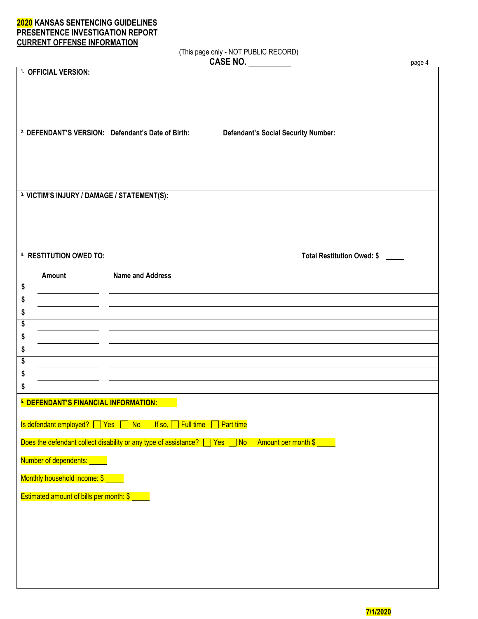(This page only - NOT PUBLIC RECORD)

|                                                              |                                                                             | <b>CASE NO.</b>                            | page 4 |
|--------------------------------------------------------------|-----------------------------------------------------------------------------|--------------------------------------------|--------|
| 1. OFFICIAL VERSION:                                         |                                                                             |                                            |        |
|                                                              |                                                                             |                                            |        |
|                                                              |                                                                             |                                            |        |
|                                                              |                                                                             |                                            |        |
| <sup>2</sup> DEFENDANT'S VERSION: Defendant's Date of Birth: |                                                                             | <b>Defendant's Social Security Number:</b> |        |
|                                                              |                                                                             |                                            |        |
|                                                              |                                                                             |                                            |        |
|                                                              |                                                                             |                                            |        |
|                                                              |                                                                             |                                            |        |
| 3. VICTIM'S INJURY / DAMAGE / STATEMENT(S):                  |                                                                             |                                            |        |
|                                                              |                                                                             |                                            |        |
|                                                              |                                                                             |                                            |        |
|                                                              |                                                                             |                                            |        |
|                                                              |                                                                             |                                            |        |
| 4. RESTITUTION OWED TO:                                      |                                                                             | <b>Total Restitution Owed: \$</b>          |        |
| Amount                                                       | <b>Name and Address</b>                                                     |                                            |        |
| \$                                                           |                                                                             |                                            |        |
| \$                                                           |                                                                             |                                            |        |
| \$                                                           |                                                                             |                                            |        |
| \$                                                           |                                                                             |                                            |        |
| \$                                                           |                                                                             |                                            |        |
| \$                                                           |                                                                             |                                            |        |
| \$                                                           |                                                                             |                                            |        |
| \$                                                           |                                                                             |                                            |        |
| \$                                                           |                                                                             |                                            |        |
| 5. DEFENDANT'S FINANCIAL INFORMATION:                        |                                                                             |                                            |        |
|                                                              |                                                                             |                                            |        |
| Is defendant employed? TVes TNo                              | If so, $\Box$ Full time                                                     | $\Box$ Part time                           |        |
|                                                              | Does the defendant collect disability or any type of assistance? □ Yes □ No | Amount per month \$                        |        |
| Number of dependents: _____                                  |                                                                             |                                            |        |
|                                                              |                                                                             |                                            |        |
| Monthly household income: \$ ____                            |                                                                             |                                            |        |
| Estimated amount of bills per month: \$                      |                                                                             |                                            |        |
|                                                              |                                                                             |                                            |        |
|                                                              |                                                                             |                                            |        |
|                                                              |                                                                             |                                            |        |
|                                                              |                                                                             |                                            |        |
|                                                              |                                                                             |                                            |        |
|                                                              |                                                                             |                                            |        |
|                                                              |                                                                             |                                            |        |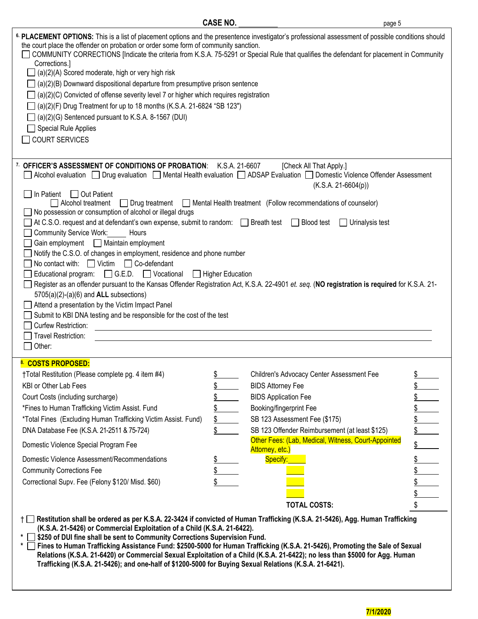| <b>CASE NO.</b>                                                                                                                                                                                                                                                                                                                                                                                                                                                                                                                                                                                                                                                                                                                                                                                                                                                                                                                                                                                                                                                                    | page 5                                                                                                                                                |                                                                                                                                                                                                            |    |  |  |
|------------------------------------------------------------------------------------------------------------------------------------------------------------------------------------------------------------------------------------------------------------------------------------------------------------------------------------------------------------------------------------------------------------------------------------------------------------------------------------------------------------------------------------------------------------------------------------------------------------------------------------------------------------------------------------------------------------------------------------------------------------------------------------------------------------------------------------------------------------------------------------------------------------------------------------------------------------------------------------------------------------------------------------------------------------------------------------|-------------------------------------------------------------------------------------------------------------------------------------------------------|------------------------------------------------------------------------------------------------------------------------------------------------------------------------------------------------------------|----|--|--|
| 6. PLACEMENT OPTIONS: This is a list of placement options and the presentence investigator's professional assessment of possible conditions should<br>the court place the offender on probation or order some form of community sanction.<br>COMMUNITY CORRECTIONS [Indicate the criteria from K.S.A. 75-5291 or Special Rule that qualifies the defendant for placement in Community<br>Corrections.]<br>$\Box$ (a)(2)(A) Scored moderate, high or very high risk<br>$\Box$ (a)(2)(B) Downward dispositional departure from presumptive prison sentence<br>$\Box$ (a)(2)(C) Convicted of offense severity level 7 or higher which requires registration<br>$\Box$ (a)(2)(F) Drug Treatment for up to 18 months (K.S.A. 21-6824 "SB 123")<br>$\Box$ (a)(2)(G) Sentenced pursuant to K.S.A. 8-1567 (DUI)<br>$\Box$ Special Rule Applies<br><b>COURT SERVICES</b>                                                                                                                                                                                                                    |                                                                                                                                                       |                                                                                                                                                                                                            |    |  |  |
| 7. OFFICER'S ASSESSMENT OF CONDITIONS OF PROBATION: K.S.A. 21-6607<br>Alcohol evaluation   Drug evaluation   Mental Health evaluation   ADSAP Evaluation   Domestic Violence Offender Assessment<br>In Patient<br>□ Out Patient<br>Alcohol treatment<br>$\Box$ Drug treatment<br>No possession or consumption of alcohol or illegal drugs<br>At C.S.O. request and at defendant's own expense, submit to random:<br>Preath test<br>Community Service Work: Hours<br>Gain employment Maintain employment<br>Notify the C.S.O. of changes in employment, residence and phone number<br>□ Co-defendant<br>No contact with: $\Box$ Victim<br>$\Box$ G.E.D. $\Box$ Vocational<br>Educational program:<br>Register as an offender pursuant to the Kansas Offender Registration Act, K.S.A. 22-4901 et. seq. (NO registration is required for K.S.A. 21-<br>$5705(a)(2)-(a)(6)$ and ALL subsections)<br>Attend a presentation by the Victim Impact Panel<br>Submit to KBI DNA testing and be responsible for the cost of the test<br>Curfew Restriction:<br>Travel Restriction:<br>Other: | □ Higher Education                                                                                                                                    | [Check All That Apply.]<br>$(K.S.A. 21-6604(p))$<br>Mental Health treatment (Follow recommendations of counselor)<br>$\Box$ Blood test<br>$\Box$ Urinalysis test                                           |    |  |  |
| 8. COSTS PROPOSED:<br>†Total Restitution (Please complete pg. 4 item #4)<br>KBI or Other Lab Fees<br>Court Costs (including surcharge)<br>*Fines to Human Trafficking Victim Assist. Fund<br>*Total Fines (Excluding Human Trafficking Victim Assist. Fund)<br>DNA Database Fee (K.S.A. 21-2511 & 75-724)<br>Domestic Violence Special Program Fee<br>Domestic Violence Assessment/Recommendations<br><b>Community Corrections Fee</b><br>Correctional Supv. Fee (Felony \$120/ Misd. \$60)<br>Restitution shall be ordered as per K.S.A. 22-3424 if convicted of Human Trafficking (K.S.A. 21-5426), Agg. Human Trafficking                                                                                                                                                                                                                                                                                                                                                                                                                                                       | \$<br>\$<br><b>BIDS Attorney Fee</b><br>\$<br><b>BIDS Application Fee</b><br>Booking/fingerprint Fee<br>\$<br>\$<br>Attorney, etc.)<br>Specify:<br>\$ | Children's Advocacy Center Assessment Fee<br>SB 123 Assessment Fee (\$175)<br>SB 123 Offender Reimbursement (at least \$125)<br>Other Fees: (Lab, Medical, Witness, Court-Appointed<br><b>TOTAL COSTS:</b> | \$ |  |  |

- **\* \$250 of DUI fine shall be sent to Community Corrections Supervision Fund.**
- **\* Fines to Human Trafficking Assistance Fund: \$2500-5000 for Human Trafficking (K.S.A. 21-5426), Promoting the Sale of Sexual Relations (K.S.A. 21-6420) or Commercial Sexual Exploitation of a Child (K.S.A. 21-6422); no less than \$5000 for Agg. Human Trafficking (K.S.A. 21-5426); and one-half of \$1200-5000 for Buying Sexual Relations (K.S.A. 21-6421).**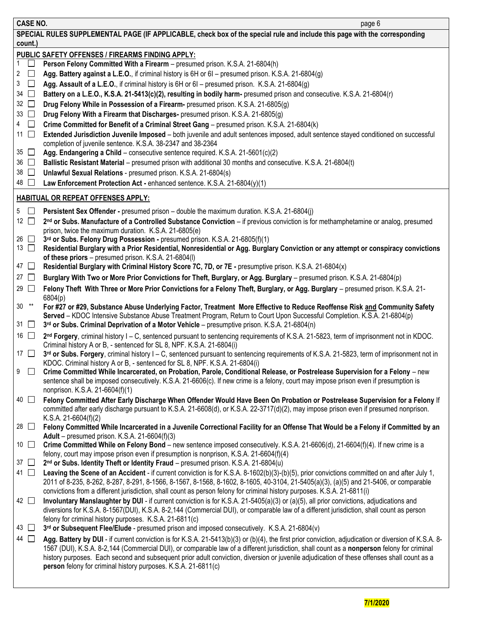| <b>CASE NO.</b>          | page 6                                                                                                                                                                                                                                                                                   |
|--------------------------|------------------------------------------------------------------------------------------------------------------------------------------------------------------------------------------------------------------------------------------------------------------------------------------|
|                          | SPECIAL RULES SUPPLEMENTAL PAGE (IF APPLICABLE, check box of the special rule and include this page with the corresponding                                                                                                                                                               |
| count.)                  |                                                                                                                                                                                                                                                                                          |
|                          | PUBLIC SAFETY OFFENSES / FIREARMS FINDING APPLY:                                                                                                                                                                                                                                         |
|                          | Person Felony Committed With a Firearm - presumed prison. K.S.A. 21-6804(h)                                                                                                                                                                                                              |
| $\overline{2}$<br>$\Box$ | Agg. Battery against a L.E.O., if criminal history is 6H or 6I - presumed prison. K.S.A. 21-6804(g)                                                                                                                                                                                      |
| $\Box$<br>3              | Agg. Assault of a L.E.O., if criminal history is 6H or 6I – presumed prison. K.S.A. 21-6804(g)                                                                                                                                                                                           |
| $34$ $\Box$              | Battery on a L.E.O., K.S.A. 21-5413(c)(2), resulting in bodily harm- presumed prison and consecutive. K.S.A. 21-6804(r)                                                                                                                                                                  |
| 32 $\Box$                | Drug Felony While in Possession of a Firearm- presumed prison. K.S.A. 21-6805(g)                                                                                                                                                                                                         |
| $33$ $\Box$              | Drug Felony With a Firearm that Discharges- presumed prison. K.S.A. 21-6805(g)                                                                                                                                                                                                           |
| 4 $\Box$                 | Crime Committed for Benefit of a Criminal Street Gang - presumed prison. K.S.A. 21-6804(k)                                                                                                                                                                                               |
| 11 $\Box$                | Extended Jurisdiction Juvenile Imposed - both juvenile and adult sentences imposed, adult sentence stayed conditioned on successful                                                                                                                                                      |
|                          | completion of juvenile sentence. K.S.A. 38-2347 and 38-2364                                                                                                                                                                                                                              |
| $35$ $\Box$              | Agg. Endangering a Child - consecutive sentence required. K.S.A. 21-5601(c)(2)                                                                                                                                                                                                           |
| $36$ $\Box$              | Ballistic Resistant Material - presumed prison with additional 30 months and consecutive. K.S.A. 21-6804(t)                                                                                                                                                                              |
| $38$ $\Box$              | Unlawful Sexual Relations - presumed prison. K.S.A. 21-6804(s)                                                                                                                                                                                                                           |
| 48 □                     | Law Enforcement Protection Act - enhanced sentence. K.S.A. 21-6804(y)(1)                                                                                                                                                                                                                 |
|                          | <b>HABITUAL OR REPEAT OFFENSES APPLY:</b>                                                                                                                                                                                                                                                |
| $5\Box$                  | Persistent Sex Offender - presumed prison - double the maximum duration. K.S.A. 21-6804(j)                                                                                                                                                                                               |
| 12 $\Box$                | 2 <sup>nd</sup> or Subs. Manufacture of a Controlled Substance Conviction - if previous conviction is for methamphetamine or analog, presumed                                                                                                                                            |
|                          | prison, twice the maximum duration. K.S.A. 21-6805(e)                                                                                                                                                                                                                                    |
| $26$ $\Box$              | 3rd or Subs. Felony Drug Possession - presumed prison. K.S.A. 21-6805(f)(1)                                                                                                                                                                                                              |
| 13 $\Box$                | Residential Burglary with a Prior Residential, Nonresidential or Agg. Burglary Conviction or any attempt or conspiracy convictions                                                                                                                                                       |
|                          | of these priors - presumed prison. K.S.A. 21-6804(I)                                                                                                                                                                                                                                     |
| 47 $\Box$                | Residential Burglary with Criminal History Score 7C, 7D, or 7E - presumptive prison. K.S.A. 21-6804(x)                                                                                                                                                                                   |
| 27 $\Box$                | Burglary With Two or More Prior Convictions for Theft, Burglary, or Agg. Burglary – presumed prison. K.S.A. 21-6804(p)                                                                                                                                                                   |
| 29 $\Box$                | Felony Theft With Three or More Prior Convictions for a Felony Theft, Burglary, or Agg. Burglary - presumed prison. K.S.A. 21-                                                                                                                                                           |
|                          | 6804(p)                                                                                                                                                                                                                                                                                  |
| $30***$                  | For #27 or #29, Substance Abuse Underlying Factor, Treatment More Effective to Reduce Reoffense Risk and Community Safety                                                                                                                                                                |
|                          | Served - KDOC Intensive Substance Abuse Treatment Program, Return to Court Upon Successful Completion. K.S.A. 21-6804(p)                                                                                                                                                                 |
| $31 \Box$                | 3rd or Subs. Criminal Deprivation of a Motor Vehicle – presumptive prison. K.S.A. 21-6804(n)                                                                                                                                                                                             |
| 16 $\Box$                | 2nd Forgery, criminal history I – C, sentenced pursuant to sentencing requirements of K.S.A. 21-5823, term of imprisonment not in KDOC.                                                                                                                                                  |
| 17 $\Box$                | Criminal history A or B, - sentenced for SL 8, NPF. K.S.A. 21-6804(i)<br>3rd or Subs. Forgery, criminal history I - C, sentenced pursuant to sentencing requirements of K.S.A. 21-5823, term of imprisonment not in                                                                      |
|                          | KDOC. Criminal history A or B, - sentenced for SL 8, NPF. K.S.A. 21-6804(i)                                                                                                                                                                                                              |
| $9$ $\Box$               | Crime Committed While Incarcerated, on Probation, Parole, Conditional Release, or Postrelease Supervision for a Felony - new                                                                                                                                                             |
|                          | sentence shall be imposed consecutively. K.S.A. 21-6606(c). If new crime is a felony, court may impose prison even if presumption is                                                                                                                                                     |
|                          | nonprison. K.S.A. 21-6604(f)(1)                                                                                                                                                                                                                                                          |
| $40$ $\Box$              | Felony Committed After Early Discharge When Offender Would Have Been On Probation or Postrelease Supervision for a Felony If                                                                                                                                                             |
|                          | committed after early discharge pursuant to K.S.A. 21-6608(d), or K.S.A. 22-3717(d)(2), may impose prison even if presumed nonprison.                                                                                                                                                    |
|                          | K.S.A. $21-6604(f)(2)$                                                                                                                                                                                                                                                                   |
| 28 □                     | Felony Committed While Incarcerated in a Juvenile Correctional Facility for an Offense That Would be a Felony if Committed by an                                                                                                                                                         |
| 10 $\Box$                | Adult - presumed prison. K.S.A. 21-6604(f)(3)<br>Crime Committed While on Felony Bond - new sentence imposed consecutively. K.S.A. 21-6606(d), 21-6604(f)(4). If new crime is a                                                                                                          |
|                          | felony, court may impose prison even if presumption is nonprison, K.S.A. 21-6604(f)(4)                                                                                                                                                                                                   |
| $37$ $\Box$              | 2nd or Subs. Identity Theft or Identity Fraud - presumed prison. K.S.A. 21-6804(u)                                                                                                                                                                                                       |
| 41 □                     | Leaving the Scene of an Accident - if current conviction is for K.S.A. 8-1602(b)(3)-(b)(5), prior convictions committed on and after July 1,                                                                                                                                             |
|                          | 2011 of 8-235, 8-262, 8-287, 8-291, 8-1566, 8-1567, 8-1568, 8-1602, 8-1605, 40-3104, 21-5405(a)(3), (a)(5) and 21-5406, or comparable                                                                                                                                                    |
|                          | convictions from a different jurisdiction, shall count as person felony for criminal history purposes. K.S.A. 21-6811(i)                                                                                                                                                                 |
| 42 □                     | Involuntary Manslaughter by DUI - if current conviction is for K.S.A. 21-5405(a)(3) or (a)(5), all prior convictions, adjudications and                                                                                                                                                  |
|                          | diversions for K.S.A. 8-1567(DUI), K.S.A. 8-2,144 (Commercial DUI), or comparable law of a different jurisdiction, shall count as person                                                                                                                                                 |
|                          | felony for criminal history purposes. K.S.A. 21-6811(c)                                                                                                                                                                                                                                  |
| 43 $\Box$                | 3rd or Subsequent Flee/Elude - presumed prison and imposed consecutively. K.S.A. 21-6804(v)                                                                                                                                                                                              |
| 44 □                     | Agg. Battery by DUI - if current conviction is for K.S.A. 21-5413(b)(3) or (b)(4), the first prior conviction, adjudication or diversion of K.S.A. 8-                                                                                                                                    |
|                          | 1567 (DUI), K.S.A. 8-2,144 (Commercial DUI), or comparable law of a different jurisdiction, shall count as a nonperson felony for criminal<br>history purposes. Each second and subsequent prior adult conviction, diversion or juvenile adjudication of these offenses shall count as a |
|                          | person felony for criminal history purposes. K.S.A. 21-6811(c)                                                                                                                                                                                                                           |
|                          |                                                                                                                                                                                                                                                                                          |
|                          |                                                                                                                                                                                                                                                                                          |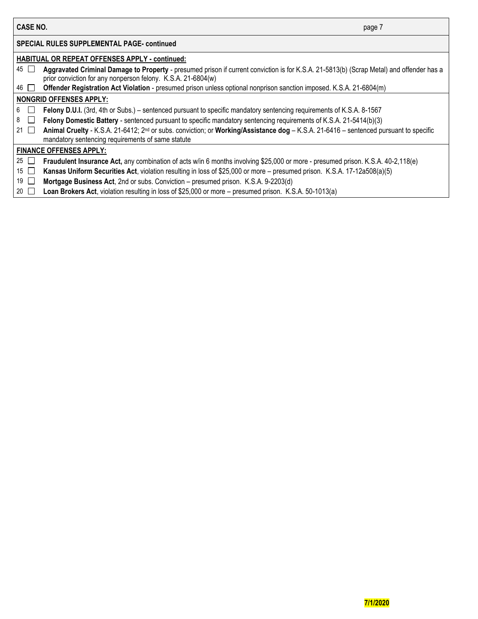| <b>CASE NO.</b> | page |
|-----------------|------|
|                 |      |

### **SPECIAL RULES SUPPLEMENTAL PAGE- continued**

#### **HABITUAL OR REPEAT OFFENSES APPLY - continued:** 45 **Aggravated Criminal Damage to Property** - presumed prison if current conviction is for K.S.A. 21-5813(b) (Scrap Metal) and offender has a prior conviction for any nonperson felony. K.S.A. 21-6804(w) 46 **Offender Registration Act Violation** - presumed prison unless optional nonprison sanction imposed. K.S.A. 21-6804(m) **NONGRID OFFENSES APPLY:** 6 **Felony D.U.I.** (3rd, 4th or Subs.) – sentenced pursuant to specific mandatory sentencing requirements of K.S.A. 8-1567 8 **Felony Domestic Battery** - sentenced pursuant to specific mandatory sentencing requirements of K.S.A. 21-5414(b)(3) 21 **Animal Cruelty** - K.S.A. 21-6412; 2nd or subs. conviction; or **Working/Assistance dog** – K.S.A. 21-6416 – sentenced pursuant to specific mandatory sentencing requirements of same statute **FINANCE OFFENSES APPLY:** 25 **Fraudulent Insurance Act,** any combination of acts w/in 6 months involving \$25,000 or more - presumed prison. K.S.A. 40-2,118(e) 15 **Kansas Uniform Securities Act**, violation resulting in loss of \$25,000 or more – presumed prison. K.S.A. 17-12a508(a)(5) 19 **Mortgage Business Act**, 2nd or subs. Conviction – presumed prison. K.S.A. 9-2203(d) 20 **Loan Brokers Act**, violation resulting in loss of \$25,000 or more – presumed prison. K.S.A. 50-1013(a)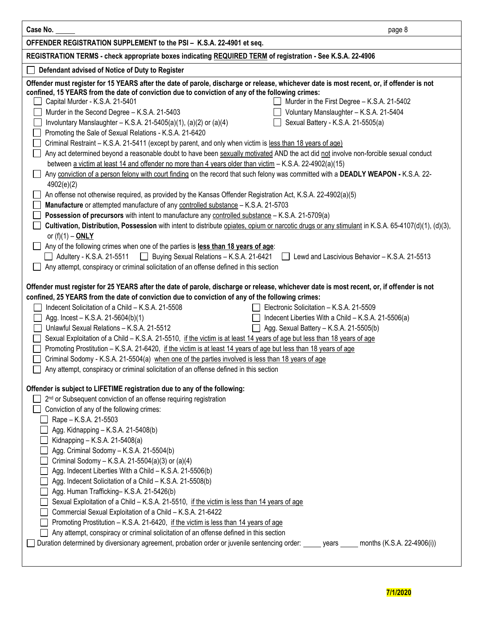| Case No.                                                                                                                                                                                                                                                                                                                                                                                                                                                                                                                                                                                                                                                                                                                                                                                                                                                                                                                                                                                                                                                                                                                                                                                                                                                                                                                                                                                                                                                                                                                                                                                             | page 8                                                                                                                                                                                      |
|------------------------------------------------------------------------------------------------------------------------------------------------------------------------------------------------------------------------------------------------------------------------------------------------------------------------------------------------------------------------------------------------------------------------------------------------------------------------------------------------------------------------------------------------------------------------------------------------------------------------------------------------------------------------------------------------------------------------------------------------------------------------------------------------------------------------------------------------------------------------------------------------------------------------------------------------------------------------------------------------------------------------------------------------------------------------------------------------------------------------------------------------------------------------------------------------------------------------------------------------------------------------------------------------------------------------------------------------------------------------------------------------------------------------------------------------------------------------------------------------------------------------------------------------------------------------------------------------------|---------------------------------------------------------------------------------------------------------------------------------------------------------------------------------------------|
| OFFENDER REGISTRATION SUPPLEMENT to the PSI - K.S.A. 22-4901 et seq.                                                                                                                                                                                                                                                                                                                                                                                                                                                                                                                                                                                                                                                                                                                                                                                                                                                                                                                                                                                                                                                                                                                                                                                                                                                                                                                                                                                                                                                                                                                                 |                                                                                                                                                                                             |
| REGISTRATION TERMS - check appropriate boxes indicating REQUIRED TERM of registration - See K.S.A. 22-4906                                                                                                                                                                                                                                                                                                                                                                                                                                                                                                                                                                                                                                                                                                                                                                                                                                                                                                                                                                                                                                                                                                                                                                                                                                                                                                                                                                                                                                                                                           |                                                                                                                                                                                             |
| Defendant advised of Notice of Duty to Register                                                                                                                                                                                                                                                                                                                                                                                                                                                                                                                                                                                                                                                                                                                                                                                                                                                                                                                                                                                                                                                                                                                                                                                                                                                                                                                                                                                                                                                                                                                                                      |                                                                                                                                                                                             |
| Offender must register for 15 YEARS after the date of parole, discharge or release, whichever date is most recent, or, if offender is not<br>confined, 15 YEARS from the date of conviction due to conviction of any of the following crimes:<br>Capital Murder - K.S.A. 21-5401<br>Murder in the Second Degree - K.S.A. 21-5403<br>Involuntary Manslaughter - K.S.A. 21-5405(a)(1), (a)(2) or (a)(4)<br>Promoting the Sale of Sexual Relations - K.S.A. 21-6420<br>$\Box$<br>Criminal Restraint - K.S.A. 21-5411 (except by parent, and only when victim is less than 18 years of age)<br>$\mathbf{L}$<br>Any act determined beyond a reasonable doubt to have been sexually motivated AND the act did not involve non-forcible sexual conduct<br>$\Box$<br>between a victim at least 14 and offender no more than 4 years older than victim - K.S.A. 22-4902(a)(15)<br>Any conviction of a person felony with court finding on the record that such felony was committed with a DEADLY WEAPON - K.S.A. 22-<br>4902(e)(2)<br>An offense not otherwise required, as provided by the Kansas Offender Registration Act, K.S.A. 22-4902(a)(5)<br>Manufacture or attempted manufacture of any controlled substance - K.S.A. 21-5703<br>Possession of precursors with intent to manufacture any controlled substance - K.S.A. 21-5709(a)<br>Cultivation, Distribution, Possession with intent to distribute opiates, opium or narcotic drugs or any stimulant in K.S.A. 65-4107(d)(1), (d)(3),<br>or $(f)(1) - ONLY$<br>Any of the following crimes when one of the parties is less than 18 years of age: | Murder in the First Degree - K.S.A. 21-5402<br>Voluntary Manslaughter - K.S.A. 21-5404<br>Sexual Battery - K.S.A. 21-5505(a)                                                                |
| Adultery - K.S.A. 21-5511 <b>D</b> Buying Sexual Relations - K.S.A. 21-6421<br>Any attempt, conspiracy or criminal solicitation of an offense defined in this section<br>Offender must register for 25 YEARS after the date of parole, discharge or release, whichever date is most recent, or, if offender is not<br>confined, 25 YEARS from the date of conviction due to conviction of any of the following crimes:<br>Indecent Solicitation of a Child - K.S.A. 21-5508<br>Agg. Incest - K.S.A. 21-5604(b)(1)<br>Unlawful Sexual Relations - K.S.A. 21-5512<br>Sexual Exploitation of a Child - K.S.A. 21-5510, if the victim is at least 14 years of age but less than 18 years of age<br>Promoting Prostitution - K.S.A. 21-6420, if the victim is at least 14 years of age but less than 18 years of age<br>$\perp$<br>Criminal Sodomy - K.S.A. 21-5504(a) when one of the parties involved is less than 18 years of age<br>Any attempt, conspiracy or criminal solicitation of an offense defined in this section                                                                                                                                                                                                                                                                                                                                                                                                                                                                                                                                                                            | Lewd and Lascivious Behavior - K.S.A. 21-5513<br>Electronic Solicitation - K.S.A. 21-5509<br>Indecent Liberties With a Child - K.S.A. 21-5506(a)<br>Agg. Sexual Battery - K.S.A. 21-5505(b) |
| Offender is subject to LIFETIME registration due to any of the following:<br>2 <sup>nd</sup> or Subsequent conviction of an offense requiring registration<br>Conviction of any of the following crimes:<br>Rape - K.S.A. 21-5503<br>Agg. Kidnapping - K.S.A. 21-5408(b)<br>Kidnapping - K.S.A. 21-5408(a)<br>Agg. Criminal Sodomy - K.S.A. 21-5504(b)<br>Criminal Sodomy - K.S.A. 21-5504(a)(3) or (a)(4)<br>Agg. Indecent Liberties With a Child - K.S.A. 21-5506(b)<br>Agg. Indecent Solicitation of a Child - K.S.A. 21-5508(b)<br>Agg. Human Trafficking- K.S.A. 21-5426(b)<br>Sexual Exploitation of a Child - K.S.A. 21-5510, if the victim is less than 14 years of age<br>Commercial Sexual Exploitation of a Child - K.S.A. 21-6422<br>Promoting Prostitution - K.S.A. 21-6420, if the victim is less than 14 years of age<br>Any attempt, conspiracy or criminal solicitation of an offense defined in this section<br>Duration determined by diversionary agreement, probation order or juvenile sentencing order: _____ years _____ months (K.S.A. 22-4906(i))                                                                                                                                                                                                                                                                                                                                                                                                                                                                                                                          |                                                                                                                                                                                             |

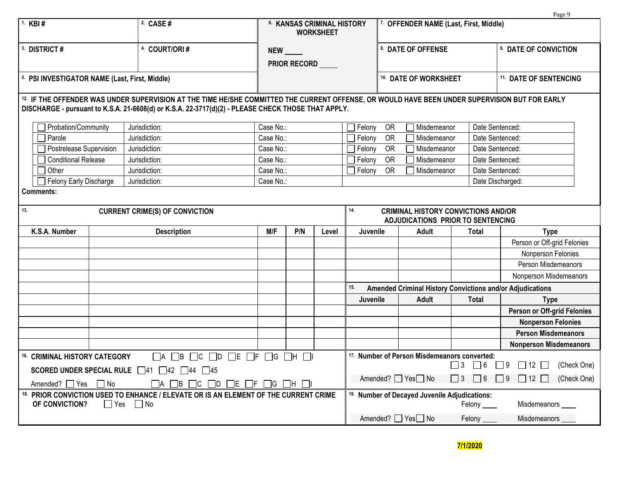|                                                                                                           |            |                                                                                                                                                                                                                                                      |                               |              |                                                       |                                                                                        |                                                 |                                                         |              |                              | Page 9                                                    |             |
|-----------------------------------------------------------------------------------------------------------|------------|------------------------------------------------------------------------------------------------------------------------------------------------------------------------------------------------------------------------------------------------------|-------------------------------|--------------|-------------------------------------------------------|----------------------------------------------------------------------------------------|-------------------------------------------------|---------------------------------------------------------|--------------|------------------------------|-----------------------------------------------------------|-------------|
| 1. KBI #                                                                                                  |            | 2. CASE #                                                                                                                                                                                                                                            |                               |              | <b>6. KANSAS CRIMINAL HISTORY</b><br><b>WORKSHEET</b> |                                                                                        |                                                 | 7. OFFENDER NAME (Last, First, Middle)                  |              |                              |                                                           |             |
| <sup>3.</sup> DISTRICT #                                                                                  |            | 4. COURT/ORI#                                                                                                                                                                                                                                        | NEW ______                    |              |                                                       |                                                                                        |                                                 | 8. DATE OF OFFENSE                                      |              | 9. DATE OF CONVICTION        |                                                           |             |
|                                                                                                           |            |                                                                                                                                                                                                                                                      |                               | PRIOR RECORD |                                                       |                                                                                        |                                                 |                                                         |              |                              |                                                           |             |
| 5. PSI INVESTIGATOR NAME (Last, First, Middle)                                                            |            |                                                                                                                                                                                                                                                      |                               |              |                                                       |                                                                                        | 10. DATE OF WORKSHEET<br>11. DATE OF SENTENCING |                                                         |              |                              |                                                           |             |
|                                                                                                           |            |                                                                                                                                                                                                                                                      |                               |              |                                                       |                                                                                        |                                                 |                                                         |              |                              |                                                           |             |
|                                                                                                           |            | 12. IF THE OFFENDER WAS UNDER SUPERVISION AT THE TIME HE/SHE COMMITTED THE CURRENT OFFENSE, OR WOULD HAVE BEEN UNDER SUPERVISION BUT FOR EARLY<br>DISCHARGE - pursuant to K.S.A. 21-6608(d) or K.S.A. 22-3717(d)(2) - PLEASE CHECK THOSE THAT APPLY. |                               |              |                                                       |                                                                                        |                                                 |                                                         |              |                              |                                                           |             |
| Probation/Community                                                                                       |            | Jurisdiction:                                                                                                                                                                                                                                        | Case No.:                     |              |                                                       | Felony                                                                                 | OR                                              | Misdemeanor                                             |              | Date Sentenced:              |                                                           |             |
| Parole                                                                                                    |            | Jurisdiction:                                                                                                                                                                                                                                        | Case No.:                     |              |                                                       | Felony                                                                                 | <b>OR</b>                                       | Misdemeanor                                             |              | Date Sentenced:              |                                                           |             |
| Postrelease Supervision                                                                                   |            | Jurisdiction:                                                                                                                                                                                                                                        | Case No.:                     |              |                                                       | Felony                                                                                 | OR                                              | Misdemeanor                                             |              | Date Sentenced:              |                                                           |             |
| <b>Conditional Release</b>                                                                                |            | Jurisdiction:                                                                                                                                                                                                                                        | Case No.:                     |              |                                                       | Felony                                                                                 | <b>OR</b>                                       | Misdemeanor                                             |              | Date Sentenced:              |                                                           |             |
| Other                                                                                                     |            | Jurisdiction:                                                                                                                                                                                                                                        | Case No.:                     |              |                                                       | Felony                                                                                 | <b>OR</b>                                       | Misdemeanor                                             |              | Date Sentenced:              |                                                           |             |
| Felony Early Discharge                                                                                    |            | Jurisdiction:                                                                                                                                                                                                                                        | Case No.:                     |              |                                                       |                                                                                        |                                                 |                                                         |              |                              | Date Discharged:                                          |             |
| <b>Comments:</b>                                                                                          |            |                                                                                                                                                                                                                                                      |                               |              |                                                       |                                                                                        |                                                 |                                                         |              |                              |                                                           |             |
| 13.<br><b>CURRENT CRIME(S) OF CONVICTION</b>                                                              |            |                                                                                                                                                                                                                                                      |                               |              |                                                       | 14.<br><b>CRIMINAL HISTORY CONVICTIONS AND/OR</b><br>ADJUDICATIONS PRIOR TO SENTENCING |                                                 |                                                         |              |                              |                                                           |             |
| K.S.A. Number                                                                                             |            | <b>Description</b>                                                                                                                                                                                                                                   | M/F                           | P/N<br>Level |                                                       |                                                                                        | Juvenile                                        | <b>Adult</b>                                            | <b>Total</b> |                              | <b>Type</b>                                               |             |
|                                                                                                           |            |                                                                                                                                                                                                                                                      |                               |              |                                                       |                                                                                        |                                                 |                                                         |              |                              | Person or Off-grid Felonies                               |             |
|                                                                                                           |            |                                                                                                                                                                                                                                                      |                               |              |                                                       |                                                                                        |                                                 |                                                         |              |                              | Nonperson Felonies                                        |             |
|                                                                                                           |            |                                                                                                                                                                                                                                                      |                               |              |                                                       |                                                                                        |                                                 |                                                         |              |                              | Person Misdemeanors                                       |             |
|                                                                                                           |            |                                                                                                                                                                                                                                                      |                               |              |                                                       |                                                                                        |                                                 |                                                         |              |                              | Nonperson Misdemeanors                                    |             |
|                                                                                                           |            |                                                                                                                                                                                                                                                      |                               |              |                                                       | 15.                                                                                    |                                                 |                                                         |              |                              | Amended Criminal History Convictions and/or Adjudications |             |
|                                                                                                           |            |                                                                                                                                                                                                                                                      |                               |              |                                                       | <b>Juvenile</b>                                                                        |                                                 | <b>Adult</b>                                            | <b>Total</b> |                              | <b>Type</b>                                               |             |
|                                                                                                           |            |                                                                                                                                                                                                                                                      |                               |              |                                                       |                                                                                        |                                                 |                                                         |              |                              | Person or Off-grid Felonies                               |             |
|                                                                                                           |            |                                                                                                                                                                                                                                                      |                               |              |                                                       |                                                                                        |                                                 |                                                         |              |                              | <b>Nonperson Felonies</b>                                 |             |
|                                                                                                           |            |                                                                                                                                                                                                                                                      |                               |              |                                                       |                                                                                        |                                                 |                                                         |              |                              | <b>Person Misdemeanors</b>                                |             |
|                                                                                                           |            |                                                                                                                                                                                                                                                      |                               |              |                                                       |                                                                                        |                                                 |                                                         |              |                              | <b>Nonperson Misdemeanors</b>                             |             |
| 16. CRIMINAL HISTORY CATEGORY                                                                             |            | $\sqsupset$ B<br>$\sqcap$ C<br>TD.<br><b>A</b>                                                                                                                                                                                                       | $\square$ e $\square$ f<br>ヿG | ⊣н           |                                                       |                                                                                        |                                                 | <sup>17.</sup> Number of Person Misdemeanors converted: |              |                              |                                                           |             |
|                                                                                                           |            | SCORED UNDER SPECIAL RULE  41  42  44  45                                                                                                                                                                                                            |                               |              |                                                       |                                                                                        |                                                 |                                                         | 13           | $\Box$ 6                     | $\Box$ 9<br>$\Box$ 12 $\Box$                              | (Check One) |
| Amended? ■ Yes ■ No<br>$\Box$ B $\Box$ C<br>$\Box$ d $\Box$ e $\Box$ f $\Box$ g $\Box$ h $\Box$ i<br>- IA |            |                                                                                                                                                                                                                                                      |                               |              |                                                       |                                                                                        | Amended? ■ Yes□ No                              | $\Box$ 3 $\Box$ 6                                       |              | $\Box$ 9<br>$\Box$ 12 $\Box$ | (Check One)                                               |             |
| OF CONVICTION?                                                                                            | $\Box$ Yes | 18. PRIOR CONVICTION USED TO ENHANCE / ELEVATE OR IS AN ELEMENT OF THE CURRENT CRIME<br>$\Box$ No                                                                                                                                                    |                               |              |                                                       | <sup>19.</sup> Number of Decayed Juvenile Adjudications:<br>Felony<br>Misdemeanors     |                                                 |                                                         |              |                              |                                                           |             |
|                                                                                                           |            |                                                                                                                                                                                                                                                      |                               |              |                                                       |                                                                                        |                                                 | Amended? 7es□ No                                        |              | Felony ___                   | Misdemeanors                                              |             |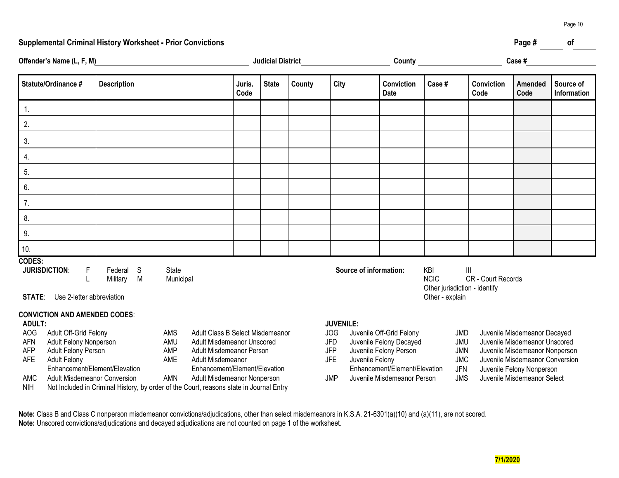#### **Supplemental Criminal History Worksheet - Prior Convictions Page # of**

| Offender's Name (L, F, M)                                                                                                                                                                                                                                                                                  |                                     |                    | <b>Judicial District</b>                           |                |              |                                                     |            |                                                                               | Case#<br>County <u>_________________________________</u> |                                                                                                                             |                                                                                   |                    |                             |                          |
|------------------------------------------------------------------------------------------------------------------------------------------------------------------------------------------------------------------------------------------------------------------------------------------------------------|-------------------------------------|--------------------|----------------------------------------------------|----------------|--------------|-----------------------------------------------------|------------|-------------------------------------------------------------------------------|----------------------------------------------------------|-----------------------------------------------------------------------------------------------------------------------------|-----------------------------------------------------------------------------------|--------------------|-----------------------------|--------------------------|
| Statute/Ordinance #                                                                                                                                                                                                                                                                                        | <b>Description</b>                  |                    |                                                    | Juris.<br>Code | <b>State</b> | County                                              | City       |                                                                               | Conviction<br><b>Date</b>                                | Case#                                                                                                                       |                                                                                   | Conviction<br>Code | Amended<br>Code             | Source of<br>Information |
| 1.                                                                                                                                                                                                                                                                                                         |                                     |                    |                                                    |                |              |                                                     |            |                                                                               |                                                          |                                                                                                                             |                                                                                   |                    |                             |                          |
| 2.                                                                                                                                                                                                                                                                                                         |                                     |                    |                                                    |                |              |                                                     |            |                                                                               |                                                          |                                                                                                                             |                                                                                   |                    |                             |                          |
| 3.                                                                                                                                                                                                                                                                                                         |                                     |                    |                                                    |                |              |                                                     |            |                                                                               |                                                          |                                                                                                                             |                                                                                   |                    |                             |                          |
| 4.                                                                                                                                                                                                                                                                                                         |                                     |                    |                                                    |                |              |                                                     |            |                                                                               |                                                          |                                                                                                                             |                                                                                   |                    |                             |                          |
| 5.                                                                                                                                                                                                                                                                                                         |                                     |                    |                                                    |                |              |                                                     |            |                                                                               |                                                          |                                                                                                                             |                                                                                   |                    |                             |                          |
| 6.                                                                                                                                                                                                                                                                                                         |                                     |                    |                                                    |                |              |                                                     |            |                                                                               |                                                          |                                                                                                                             |                                                                                   |                    |                             |                          |
| 7.                                                                                                                                                                                                                                                                                                         |                                     |                    |                                                    |                |              |                                                     |            |                                                                               |                                                          |                                                                                                                             |                                                                                   |                    |                             |                          |
| 8.                                                                                                                                                                                                                                                                                                         |                                     |                    |                                                    |                |              |                                                     |            |                                                                               |                                                          |                                                                                                                             |                                                                                   |                    |                             |                          |
| 9.                                                                                                                                                                                                                                                                                                         |                                     |                    |                                                    |                |              |                                                     |            |                                                                               |                                                          |                                                                                                                             |                                                                                   |                    |                             |                          |
| 10.                                                                                                                                                                                                                                                                                                        |                                     |                    |                                                    |                |              |                                                     |            |                                                                               |                                                          |                                                                                                                             |                                                                                   |                    |                             |                          |
| <b>CODES:</b><br><b>JURISDICTION:</b><br>F<br>Use 2-letter abbreviation<br><b>STATE:</b>                                                                                                                                                                                                                   | Federal S<br>Military M             | State<br>Municipal |                                                    |                |              |                                                     |            | Source of information:                                                        |                                                          | KBI<br><b>NCIC</b><br>Other jurisdiction - identify<br>Other - explain                                                      | Ш                                                                                 | CR - Court Records |                             |                          |
| <b>CONVICTION AND AMENDED CODES:</b><br><b>ADULT:</b><br><b>AOG</b><br>Adult Off-Grid Felony<br>Adult Class B Select Misdemeanor<br><b>AMS</b><br><b>AFN</b><br>Adult Felony Nonperson<br>AMU<br><b>Adult Misdemeanor Unscored</b><br><b>AFP</b><br>Adult Felony Person<br>AMP<br>Adult Misdemeanor Person |                                     |                    |                                                    |                |              | <b>JUVENILE:</b><br><b>JOG</b><br>JFD<br><b>JFP</b> |            | Juvenile Off-Grid Felony<br>Juvenile Felony Decayed<br>Juvenile Felony Person |                                                          | Juvenile Misdemeanor Decayed<br>JMD<br>JMU<br>Juvenile Misdemeanor Unscored<br><b>JMN</b><br>Juvenile Misdemeanor Nonperson |                                                                                   |                    |                             |                          |
| <b>AFE</b><br><b>Adult Felony</b>                                                                                                                                                                                                                                                                          | Enhancement/Element/Elevation       | AME                | Adult Misdemeanor<br>Enhancement/Element/Elevation |                |              |                                                     | <b>JFE</b> | Juvenile Felony                                                               | Enhancement/Element/Elevation                            |                                                                                                                             | <b>JMC</b><br>Juvenile Misdemeanor Conversion<br>JFN<br>Juvenile Felony Nonperson |                    |                             |                          |
| AMC                                                                                                                                                                                                                                                                                                        | <b>Adult Misdemeanor Conversion</b> | <b>AMN</b>         | Adult Misdemeanor Nonperson                        |                |              |                                                     | <b>JMP</b> |                                                                               | Juvenile Misdemeanor Person                              |                                                                                                                             | <b>JMS</b>                                                                        |                    | Juvenile Misdemeanor Select |                          |

**Note:** Class B and Class C nonperson misdemeanor convictions/adjudications, other than select misdemeanors in K.S.A. 21-6301(a)(10) and (a)(11), are not scored. **Note:** Unscored convictions/adjudications and decayed adjudications are not counted on page 1 of the worksheet.

NIH Not Included in Criminal History, by order of the Court, reasons state in Journal Entry

Page 10

## **7/1/2020**